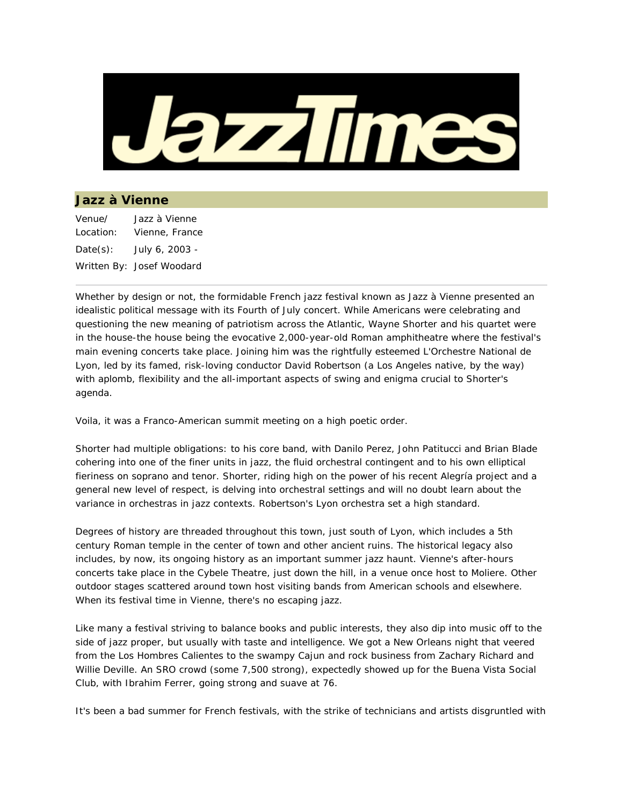

## **Jazz à Vienne**

| Venue/    | Jazz à Vienne             |
|-----------|---------------------------|
| Location: | Vienne, France            |
| Date(s):  | July 6, 2003 -            |
|           | Written By: Josef Woodard |

Whether by design or not, the formidable French jazz festival known as Jazz à Vienne presented an idealistic political message with its Fourth of July concert. While Americans were celebrating and questioning the new meaning of patriotism across the Atlantic, Wayne Shorter and his quartet were in the house-the house being the evocative 2,000-year-old Roman amphitheatre where the festival's main evening concerts take place. Joining him was the rightfully esteemed L'Orchestre National de Lyon, led by its famed, risk-loving conductor David Robertson (a Los Angeles native, by the way) with aplomb, flexibility and the all-important aspects of swing and enigma crucial to Shorter's agenda.

Voila, it was a Franco-American summit meeting on a high poetic order.

Shorter had multiple obligations: to his core band, with Danilo Perez, John Patitucci and Brian Blade cohering into one of the finer units in jazz, the fluid orchestral contingent and to his own elliptical fieriness on soprano and tenor. Shorter, riding high on the power of his recent Alegría project and a general new level of respect, is delving into orchestral settings and will no doubt learn about the variance in orchestras in jazz contexts. Robertson's Lyon orchestra set a high standard.

Degrees of history are threaded throughout this town, just south of Lyon, which includes a 5th century Roman temple in the center of town and other ancient ruins. The historical legacy also includes, by now, its ongoing history as an important summer jazz haunt. Vienne's after-hours concerts take place in the Cybele Theatre, just down the hill, in a venue once host to Moliere. Other outdoor stages scattered around town host visiting bands from American schools and elsewhere. When its festival time in Vienne, there's no escaping jazz.

Like many a festival striving to balance books and public interests, they also dip into music off to the side of jazz proper, but usually with taste and intelligence. We got a New Orleans night that veered from the Los Hombres Calientes to the swampy Cajun and rock business from Zachary Richard and Willie Deville. An SRO crowd (some 7,500 strong), expectedly showed up for the Buena Vista Social Club, with Ibrahim Ferrer, going strong and suave at 76.

It's been a bad summer for French festivals, with the strike of technicians and artists disgruntled with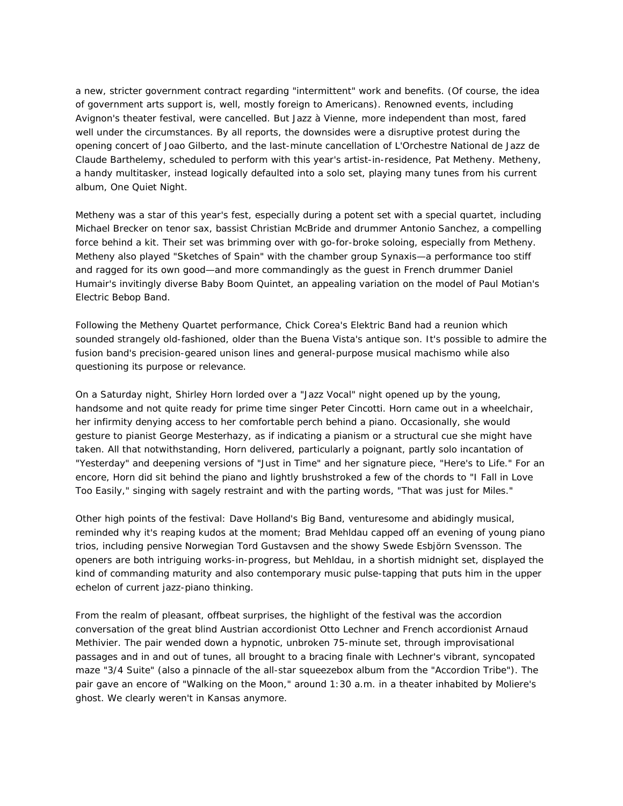a new, stricter government contract regarding "intermittent" work and benefits. (Of course, the idea of government arts support is, well, mostly foreign to Americans). Renowned events, including Avignon's theater festival, were cancelled. But Jazz à Vienne, more independent than most, fared well under the circumstances. By all reports, the downsides were a disruptive protest during the opening concert of Joao Gilberto, and the last-minute cancellation of L'Orchestre National de Jazz de Claude Barthelemy, scheduled to perform with this year's artist-in-residence, Pat Metheny. Metheny, a handy multitasker, instead logically defaulted into a solo set, playing many tunes from his current album, One Quiet Night.

Metheny was a star of this year's fest, especially during a potent set with a special quartet, including Michael Brecker on tenor sax, bassist Christian McBride and drummer Antonio Sanchez, a compelling force behind a kit. Their set was brimming over with go-for-broke soloing, especially from Metheny. Metheny also played "Sketches of Spain" with the chamber group Synaxis—a performance too stiff and ragged for its own good—and more commandingly as the guest in French drummer Daniel Humair's invitingly diverse Baby Boom Quintet, an appealing variation on the model of Paul Motian's Electric Bebop Band.

Following the Metheny Quartet performance, Chick Corea's Elektric Band had a reunion which sounded strangely old-fashioned, older than the Buena Vista's antique son. It's possible to admire the fusion band's precision-geared unison lines and general-purpose musical machismo while also questioning its purpose or relevance.

On a Saturday night, Shirley Horn lorded over a "Jazz Vocal" night opened up by the young, handsome and not quite ready for prime time singer Peter Cincotti. Horn came out in a wheelchair, her infirmity denying access to her comfortable perch behind a piano. Occasionally, she would gesture to pianist George Mesterhazy, as if indicating a pianism or a structural cue she might have taken. All that notwithstanding, Horn delivered, particularly a poignant, partly solo incantation of "Yesterday" and deepening versions of "Just in Time" and her signature piece, "Here's to Life." For an encore, Horn did sit behind the piano and lightly brushstroked a few of the chords to "I Fall in Love Too Easily," singing with sagely restraint and with the parting words, "That was just for Miles."

Other high points of the festival: Dave Holland's Big Band, venturesome and abidingly musical, reminded why it's reaping kudos at the moment; Brad Mehldau capped off an evening of young piano trios, including pensive Norwegian Tord Gustavsen and the showy Swede Esbjörn Svensson. The openers are both intriguing works-in-progress, but Mehldau, in a shortish midnight set, displayed the kind of commanding maturity and also contemporary music pulse-tapping that puts him in the upper echelon of current jazz-piano thinking.

From the realm of pleasant, offbeat surprises, the highlight of the festival was the accordion conversation of the great blind Austrian accordionist Otto Lechner and French accordionist Arnaud Methivier. The pair wended down a hypnotic, unbroken 75-minute set, through improvisational passages and in and out of tunes, all brought to a bracing finale with Lechner's vibrant, syncopated maze "3/4 Suite" (also a pinnacle of the all-star squeezebox album from the "Accordion Tribe"). The pair gave an encore of "Walking on the Moon," around 1:30 a.m. in a theater inhabited by Moliere's ghost. We clearly weren't in Kansas anymore.